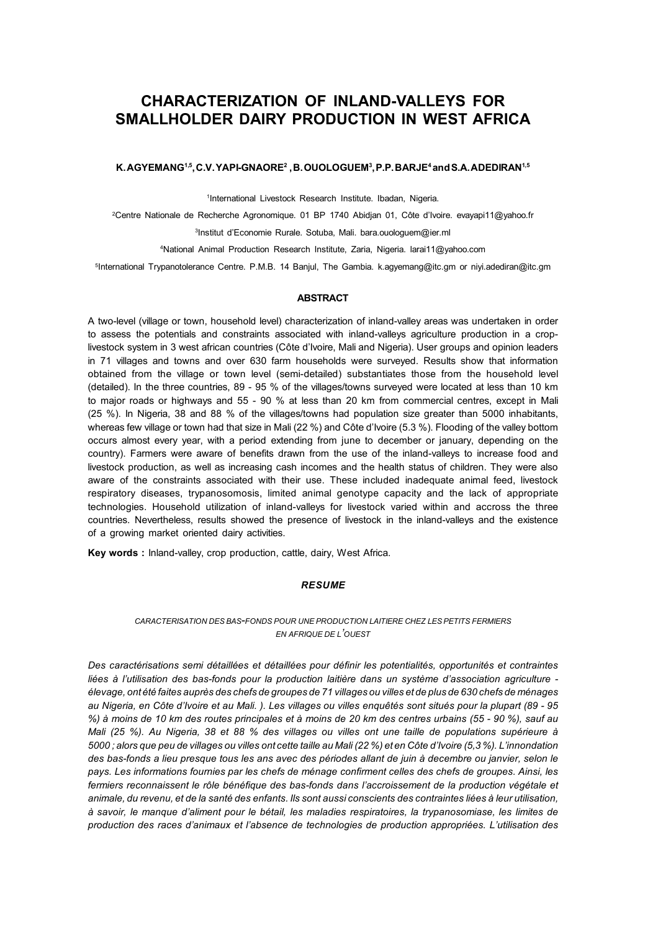# **CHARACTERIZATION OF INLAND-VALLEYS FOR SMALLHOLDER DAIRY PRODUCTION IN WEST AFRICA**

#### $\mathsf{K}.\mathsf{AGYEMANG}^{1,5}, \mathsf{C.V.} \mathsf{YAPl-GNAORE}^2, \mathsf{B. OUOLOGUEM}^3, \mathsf{P.P.} \mathsf{BARJE}^4$  and  $\mathsf{S.A.} \mathsf{ADEDIRAN}^{1,5}$

1International Livestock Research Institute. Ibadan, Nigeria.

2Centre Nationale de Recherche Agronomique. 01 BP 1740 Abidjan 01, Côte d'Ivoire. evayapi11@yahoo.fr

3Institut d'Economie Rurale. Sotuba, Mali. bara.ouologuem@ier.ml

4National Animal Production Research Institute, Zaria, Nigeria. larai11@yahoo.com

5International Trypanotolerance Centre. P.M.B. 14 Banjul, The Gambia. k.agyemang@itc.gm or niyi.adediran@itc.gm

#### **ABSTRACT**

A two-level (village or town, household level) characterization of inland-valley areas was undertaken in order to assess the potentials and constraints associated with inland-valleys agriculture production in a croplivestock system in 3 west african countries (Côte d'Ivoire, Mali and Nigeria). User groups and opinion leaders in 71 villages and towns and over 630 farm households were surveyed. Results show that information obtained from the village or town level (semi-detailed) substantiates those from the household level (detailed). In the three countries, 89 - 95 % of the villages/towns surveyed were located at less than 10 km to major roads or highways and 55 - 90 % at less than 20 km from commercial centres, except in Mali (25 %). In Nigeria, 38 and 88 % of the villages/towns had population size greater than 5000 inhabitants, whereas few village or town had that size in Mali (22 %) and Côte d'Ivoire (5.3 %). Flooding of the valley bottom occurs almost every year, with a period extending from june to december or january, depending on the country). Farmers were aware of benefits drawn from the use of the inland-valleys to increase food and livestock production, as well as increasing cash incomes and the health status of children. They were also aware of the constraints associated with their use. These included inadequate animal feed, livestock respiratory diseases, trypanosomosis, limited animal genotype capacity and the lack of appropriate technologies. Household utilization of inland-valleys for livestock varied within and accross the three countries. Nevertheless, results showed the presence of livestock in the inland-valleys and the existence of a growing market oriented dairy activities.

**Key words :** Inland-valley, crop production, cattle, dairy, West Africa.

#### *RESUME*

#### *CARACTERISATION DES BAS-FONDS POUR UNE PRODUCTION LAITIERE CHEZ LES PETITS FERMIERS EN AFRIQUE DE L'OUEST*

*Des caractérisations semi détaillées et détaillées pour définir les potentialités, opportunités et contraintes liées à l'utilisation des bas-fonds pour la production laitière dans un système d'association agriculture élevage, ont été faites auprès des chefs de groupes de 71 villages ou villes et de plus de 630 chefs de ménages au Nigeria, en Côte d'Ivoire et au Mali. ). Les villages ou villes enquêtés sont situés pour la plupart (89 - 95 %) à moins de 10 km des routes principales et à moins de 20 km des centres urbains (55 - 90 %), sauf au Mali (25 %). Au Nigeria, 38 et 88 % des villages ou villes ont une taille de populations supérieure à 5000 ; alors que peu de villages ou villes ont cette taille au Mali (22 %) et en Côte d'Ivoire (5,3 %). L'innondation des bas-fonds a lieu presque tous les ans avec des périodes allant de juin à decembre ou janvier, selon le pays. Les informations fournies par les chefs de ménage confirment celles des chefs de groupes. Ainsi, les fermiers reconnaissent le rôle bénéfique des bas-fonds dans l'accroissement de la production végétale et animale, du revenu, et de la santé des enfants. Ils sont aussi conscients des contraintes liées à leur utilisation, à savoir, le manque d'aliment pour le bétail, les maladies respiratoires, la trypanosomiase, les limites de production des races d'animaux et l'absence de technologies de production appropriées. L'utilisation des*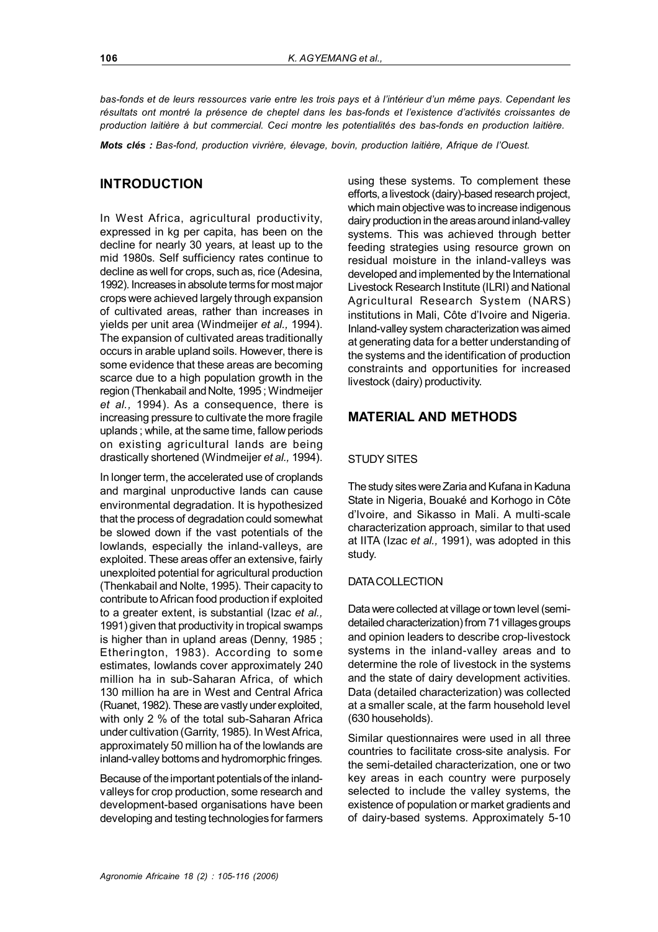*bas-fonds et de leurs ressources varie entre les trois pays et à l'intérieur d'un même pays. Cependant les résultats ont montré la présence de cheptel dans les bas-fonds et l'existence d'activités croissantes de production laitière à but commercial. Ceci montre les potentialités des bas-fonds en production laitière.*

*Mots clés : Bas-fond, production vivrière, élevage, bovin, production laitière, Afrique de l'Ouest.*

### **INTRODUCTION**

In West Africa, agricultural productivity, expressed in kg per capita, has been on the decline for nearly 30 years, at least up to the mid 1980s. Self sufficiency rates continue to decline as well for crops, such as, rice (Adesina, 1992). Increases in absolute terms for most major crops were achieved largely through expansion of cultivated areas, rather than increases in yields per unit area (Windmeijer *et al.,* 1994). The expansion of cultivated areas traditionally occurs in arable upland soils. However, there is some evidence that these areas are becoming scarce due to a high population growth in the region (Thenkabail and Nolte, 1995 ; Windmeijer *et al.,* 1994). As a consequence, there is increasing pressure to cultivate the more fragile uplands ; while, at the same time, fallow periods on existing agricultural lands are being drastically shortened (Windmeijer *et al.,* 1994).

In longer term, the accelerated use of croplands and marginal unproductive lands can cause environmental degradation. It is hypothesized that the process of degradation could somewhat be slowed down if the vast potentials of the lowlands, especially the inland-valleys, are exploited. These areas offer an extensive, fairly unexploited potential for agricultural production (Thenkabail and Nolte, 1995). Their capacity to contribute to African food production if exploited to a greater extent, is substantial (Izac *et al.,* 1991) given that productivity in tropical swamps is higher than in upland areas (Denny, 1985 ; Etherington, 1983). According to some estimates, lowlands cover approximately 240 million ha in sub-Saharan Africa, of which 130 million ha are in West and Central Africa (Ruanet, 1982). These are vastly under exploited, with only 2 % of the total sub-Saharan Africa under cultivation (Garrity, 1985). In West Africa, approximately 50 million ha of the lowlands are inland-valley bottoms and hydromorphic fringes.

Because of the important potentials of the inlandvalleys for crop production, some research and development-based organisations have been developing and testing technologies for farmers using these systems. To complement these efforts, a livestock (dairy)-based research project, which main objective was to increase indigenous dairy production in the areas around inland-valley systems. This was achieved through better feeding strategies using resource grown on residual moisture in the inland-valleys was developed and implemented by the International Livestock Research Institute (ILRI) and National Agricultural Research System (NARS) institutions in Mali, Côte d'Ivoire and Nigeria. Inland-valley system characterization was aimed at generating data for a better understanding of the systems and the identification of production constraints and opportunities for increased livestock (dairy) productivity.

### **MATERIAL AND METHODS**

### STUDY SITES

The study sites were Zaria and Kufana in Kaduna State in Nigeria, Bouaké and Korhogo in Côte d'Ivoire, and Sikasso in Mali. A multi-scale characterization approach, similar to that used at IITA (Izac *et al.,* 1991), was adopted in this study.

### DATA COLLECTION

Data were collected at village or town level (semidetailed characterization) from 71 villages groups and opinion leaders to describe crop-livestock systems in the inland-valley areas and to determine the role of livestock in the systems and the state of dairy development activities. Data (detailed characterization) was collected at a smaller scale, at the farm household level (630 households).

Similar questionnaires were used in all three countries to facilitate cross-site analysis. For the semi-detailed characterization, one or two key areas in each country were purposely selected to include the valley systems, the existence of population or market gradients and of dairy-based systems. Approximately 5-10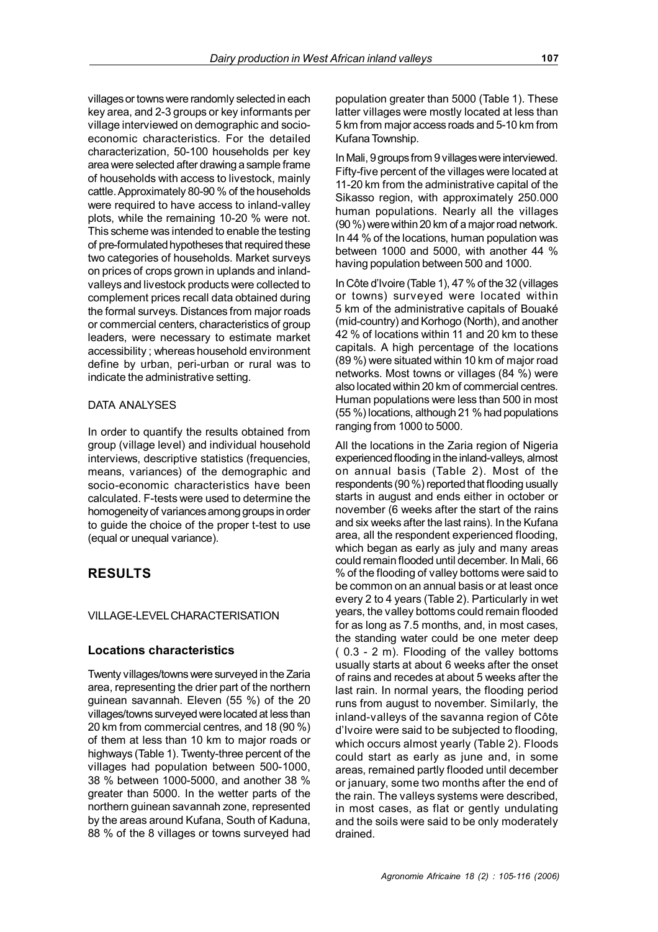villages or towns were randomly selected in each key area, and 2-3 groups or key informants per village interviewed on demographic and socioeconomic characteristics. For the detailed characterization, 50-100 households per key area were selected after drawing a sample frame of households with access to livestock, mainly cattle. Approximately 80-90 % of the households were required to have access to inland-valley plots, while the remaining 10-20 % were not. This scheme was intended to enable the testing of pre-formulated hypotheses that required these two categories of households. Market surveys on prices of crops grown in uplands and inlandvalleys and livestock products were collected to complement prices recall data obtained during the formal surveys. Distances from major roads or commercial centers, characteristics of group leaders, were necessary to estimate market accessibility ; whereas household environment define by urban, peri-urban or rural was to indicate the administrative setting.

### DATA ANALYSES

In order to quantify the results obtained from group (village level) and individual household interviews, descriptive statistics (frequencies, means, variances) of the demographic and socio-economic characteristics have been calculated. F-tests were used to determine the homogeneity of variances among groups in order to guide the choice of the proper t-test to use (equal or unequal variance).

## **RESULTS**

### VILLAGE-LEVEL CHARACTERISATION

### **Locations characteristics**

Twenty villages/towns were surveyed in the Zaria area, representing the drier part of the northern guinean savannah. Eleven (55 %) of the 20 villages/towns surveyed were located at less than 20 km from commercial centres, and 18 (90 %) of them at less than 10 km to major roads or highways (Table 1). Twenty-three percent of the villages had population between 500-1000, 38 % between 1000-5000, and another 38 % greater than 5000. In the wetter parts of the northern guinean savannah zone, represented by the areas around Kufana, South of Kaduna, 88 % of the 8 villages or towns surveyed had population greater than 5000 (Table 1). These latter villages were mostly located at less than 5 km from major access roads and 5-10 km from Kufana Township.

In Mali, 9 groups from 9 villages were interviewed. Fifty-five percent of the villages were located at 11-20 km from the administrative capital of the Sikasso region, with approximately 250.000 human populations. Nearly all the villages (90 %) were within 20 km of a major road network. In 44 % of the locations, human population was between 1000 and 5000, with another 44 % having population between 500 and 1000.

In Côte d'Ivoire (Table 1), 47 % of the 32 (villages or towns) surveyed were located within 5 km of the administrative capitals of Bouaké (mid-country) and Korhogo (North), and another 42 % of locations within 11 and 20 km to these capitals. A high percentage of the locations (89 %) were situated within 10 km of major road networks. Most towns or villages (84 %) were also located within 20 km of commercial centres. Human populations were less than 500 in most (55 %) locations, although 21 % had populations ranging from 1000 to 5000.

All the locations in the Zaria region of Nigeria experienced flooding in the inland-valleys, almost on annual basis (Table 2). Most of the respondents (90 %) reported that flooding usually starts in august and ends either in october or november (6 weeks after the start of the rains and six weeks after the last rains). In the Kufana area, all the respondent experienced flooding, which began as early as july and many areas could remain flooded until december. In Mali, 66 % of the flooding of valley bottoms were said to be common on an annual basis or at least once every 2 to 4 years (Table 2). Particularly in wet years, the valley bottoms could remain flooded for as long as 7.5 months, and, in most cases, the standing water could be one meter deep ( 0.3 - 2 m). Flooding of the valley bottoms usually starts at about 6 weeks after the onset of rains and recedes at about 5 weeks after the last rain. In normal years, the flooding period runs from august to november. Similarly, the inland-valleys of the savanna region of Côte d'Ivoire were said to be subjected to flooding, which occurs almost yearly (Table 2). Floods could start as early as june and, in some areas, remained partly flooded until december or january, some two months after the end of the rain. The valleys systems were described, in most cases, as flat or gently undulating and the soils were said to be only moderately drained.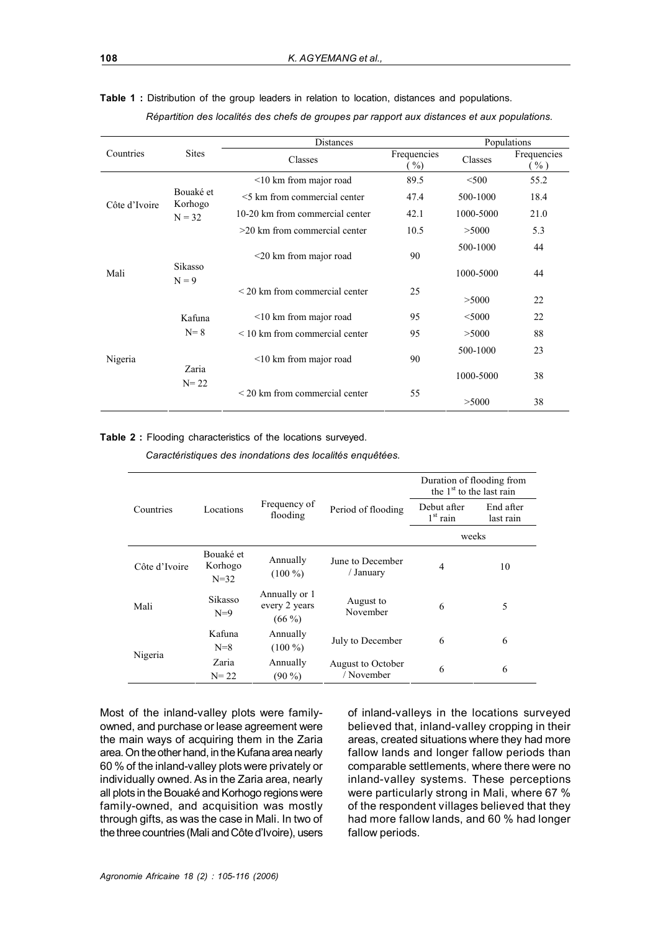|               |                      | <b>Distances</b>                    | Populations                          |           |                       |
|---------------|----------------------|-------------------------------------|--------------------------------------|-----------|-----------------------|
| Countries     | <b>Sites</b>         | Classes                             | Frequencies<br>$\gamma$ <sub>0</sub> | Classes   | Frequencies<br>$\%$ ) |
| Côte d'Ivoire |                      | $\leq$ 10 km from major road        | 89.5                                 | < 500     | 55.2                  |
|               | Bouaké et<br>Korhogo | <5 km from commercial center        | 47.4                                 | 500-1000  | 18.4                  |
|               | $N = 32$             | 10-20 km from commercial center     | 42.1                                 | 1000-5000 | 21.0                  |
|               |                      | $>20$ km from commercial center     | 10.5                                 | >5000     | 5.3                   |
| Mali          |                      | $\leq$ 20 km from major road        | 90                                   | 500-1000  | 44                    |
|               | Sikasso<br>$N = 9$   |                                     |                                      | 1000-5000 | 44                    |
|               |                      | $\leq$ 20 km from commercial center | 25                                   | >5000     | 22                    |
|               | Kafuna               | $\leq$ 10 km from major road        | 95                                   | $<$ 5000  | 22                    |
|               | $N=8$                | $\leq$ 10 km from commercial center | 95                                   | >5000     | 88                    |
| Nigeria       |                      | $\leq$ 10 km from major road        | 90                                   | 500-1000  | 23                    |
|               | Zaria<br>$N = 22$    |                                     |                                      | 1000-5000 | 38                    |
|               |                      | $\leq$ 20 km from commercial center | 55                                   | >5000     | 38                    |

**Table 1 :** Distribution of the group leaders in relation to location, distances and populations. *Répartition des localités des chefs de groupes par rapport aux distances et aux populations.*

#### **Table 2 :** Flooding characteristics of the locations surveyed.

*Caractéristiques des inondations des localités enquêtées.*

|               |                                  |                                            |                                 | Duration of flooding from<br>the $1st$ to the last rain |                        |  |
|---------------|----------------------------------|--------------------------------------------|---------------------------------|---------------------------------------------------------|------------------------|--|
| Countries     | Locations                        | Frequency of<br>flooding                   | Period of flooding              | Debut after<br>$1st$ rain                               | End after<br>last rain |  |
|               |                                  |                                            |                                 | weeks                                                   |                        |  |
| Côte d'Ivoire | Bouaké et<br>Korhogo<br>$N = 32$ | Annually<br>$(100\%)$                      | June to December<br>/ January   | $\overline{4}$                                          | 10                     |  |
| Mali          | Sikasso<br>$N=9$                 | Annually or 1<br>every 2 years<br>$(66\%)$ | August to<br>November           | 6                                                       | 5                      |  |
|               | Kafuna<br>$N=8$                  | Annually<br>$(100\%)$                      | July to December                | 6                                                       | 6                      |  |
| Nigeria       | Zaria<br>$N = 22$                | Annually<br>$(90\% )$                      | August to October<br>/ November | 6                                                       | 6                      |  |

Most of the inland-valley plots were familyowned, and purchase or lease agreement were the main ways of acquiring them in the Zaria area. On the other hand, in the Kufana area nearly 60 % of the inland-valley plots were privately or individually owned. As in the Zaria area, nearly all plots in the Bouaké and Korhogo regions were family-owned, and acquisition was mostly through gifts, as was the case in Mali. In two of the three countries (Mali and Côte d'Ivoire), users

of inland-valleys in the locations surveyed believed that, inland-valley cropping in their areas, created situations where they had more fallow lands and longer fallow periods than comparable settlements, where there were no inland-valley systems. These perceptions were particularly strong in Mali, where 67 % of the respondent villages believed that they had more fallow lands, and 60 % had longer fallow periods.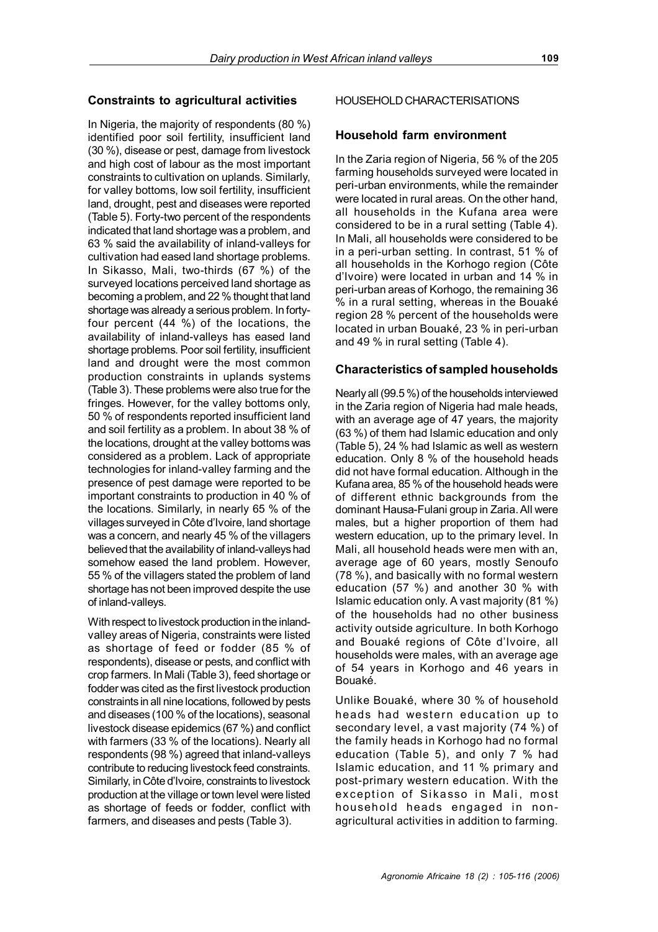### **Constraints to agricultural activities**

In Nigeria, the majority of respondents (80 %) identified poor soil fertility, insufficient land (30 %), disease or pest, damage from livestock and high cost of labour as the most important constraints to cultivation on uplands. Similarly, for valley bottoms, low soil fertility, insufficient land, drought, pest and diseases were reported (Table 5). Forty-two percent of the respondents indicated that land shortage was a problem, and 63 % said the availability of inland-valleys for cultivation had eased land shortage problems. In Sikasso, Mali, two-thirds (67 %) of the surveyed locations perceived land shortage as becoming a problem, and 22 % thought that land shortage was already a serious problem. In fortyfour percent (44 %) of the locations, the availability of inland-valleys has eased land shortage problems. Poor soil fertility, insufficient land and drought were the most common production constraints in uplands systems (Table 3). These problems were also true for the fringes. However, for the valley bottoms only, 50 % of respondents reported insufficient land and soil fertility as a problem. In about 38 % of the locations, drought at the valley bottoms was considered as a problem. Lack of appropriate technologies for inland-valley farming and the presence of pest damage were reported to be important constraints to production in 40 % of the locations. Similarly, in nearly 65 % of the villages surveyed in Côte d'Ivoire, land shortage was a concern, and nearly 45 % of the villagers believed that the availability of inland-valleys had somehow eased the land problem. However, 55 % of the villagers stated the problem of land shortage has not been improved despite the use of inland-valleys.

With respect to livestock production in the inlandvalley areas of Nigeria, constraints were listed as shortage of feed or fodder (85 % of respondents), disease or pests, and conflict with crop farmers. In Mali (Table 3), feed shortage or fodder was cited as the first livestock production constraints in all nine locations, followed by pests and diseases (100 % of the locations), seasonal livestock disease epidemics (67 %) and conflict with farmers (33 % of the locations). Nearly all respondents (98 %) agreed that inland-valleys contribute to reducing livestock feed constraints. Similarly, in Côte d'Ivoire, constraints to livestock production at the village or town level were listed as shortage of feeds or fodder, conflict with farmers, and diseases and pests (Table 3).

### HOUSEHOLD CHARACTERISATIONS

### **Household farm environment**

In the Zaria region of Nigeria, 56 % of the 205 farming households surveyed were located in peri-urban environments, while the remainder were located in rural areas. On the other hand, all households in the Kufana area were considered to be in a rural setting (Table 4). In Mali, all households were considered to be in a peri-urban setting. In contrast, 51 % of all households in the Korhogo region (Côte d'Ivoire) were located in urban and 14 % in peri-urban areas of Korhogo, the remaining 36 % in a rural setting, whereas in the Bouaké region 28 % percent of the households were located in urban Bouaké, 23 % in peri-urban and 49 % in rural setting (Table 4).

### **Characteristics of sampled households**

Nearly all (99.5 %) of the households interviewed in the Zaria region of Nigeria had male heads, with an average age of 47 years, the majority (63 %) of them had Islamic education and only (Table 5), 24 % had Islamic as well as western education. Only 8 % of the household heads did not have formal education. Although in the Kufana area, 85 % of the household heads were of different ethnic backgrounds from the dominant Hausa-Fulani group in Zaria. All were males, but a higher proportion of them had western education, up to the primary level. In Mali, all household heads were men with an, average age of 60 years, mostly Senoufo (78 %), and basically with no formal western education (57 %) and another 30 % with Islamic education only. A vast majority (81 %) of the households had no other business activity outside agriculture. In both Korhogo and Bouaké regions of Côte d'Ivoire, all households were males, with an average age of 54 years in Korhogo and 46 years in Bouaké.

Unlike Bouaké, where 30 % of household heads had western education up to secondary level, a vast majority (74 %) of the family heads in Korhogo had no formal education (Table 5), and only 7 % had Islamic education, and 11 % primary and post-primary western education. With the exception of Sikasso in Mali, most household heads engaged in nonagricultural activities in addition to farming.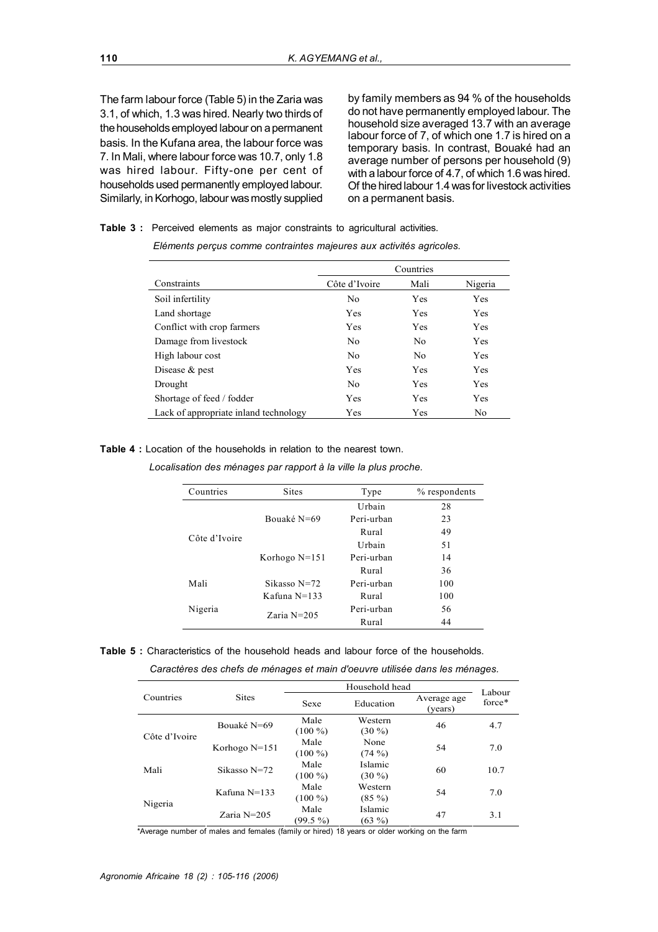The farm labour force (Table 5) in the Zaria was 3.1, of which, 1.3 was hired. Nearly two thirds of the households employed labour on a permanent basis. In the Kufana area, the labour force was 7. In Mali, where labour force was 10.7, only 1.8 was hired labour. Fifty-one per cent of households used permanently employed labour. Similarly, in Korhogo, labour was mostly supplied

by family members as 94 % of the households do not have permanently employed labour. The household size averaged 13.7 with an average labour force of 7, of which one 1.7 is hired on a temporary basis. In contrast, Bouaké had an average number of persons per household (9) with a labour force of 4.7, of which 1.6 was hired. Of the hired labour 1.4 was for livestock activities on a permanent basis.

|  |  |  | <b>Table 3</b> : Perceived elements as major constraints to agricultural activities. |  |
|--|--|--|--------------------------------------------------------------------------------------|--|
|  |  |  |                                                                                      |  |

|                                       |                | Countries      |                |
|---------------------------------------|----------------|----------------|----------------|
| Constraints                           | Côte d'Ivoire  | Mali           | Nigeria        |
| Soil infertility                      | No             | Yes            | Yes            |
| Land shortage                         | Yes            | Yes            | Yes            |
| Conflict with crop farmers            | Yes            | Yes            | Yes            |
| Damage from livestock                 | N <sub>0</sub> | N <sub>0</sub> | Yes            |
| High labour cost                      | N <sub>0</sub> | N <sub>0</sub> | Yes            |
| Disease $&$ pest                      | Yes            | Yes            | <b>Yes</b>     |
| Drought                               | N <sub>0</sub> | Yes            | Yes            |
| Shortage of feed / fodder             | Yes            | Yes            | Yes            |
| Lack of appropriate inland technology | Yes            | Yes            | N <sub>0</sub> |

*Eléments perçus comme contraintes majeures aux activités agricoles.*

**Table 4 :** Location of the households in relation to the nearest town.

*Localisation des ménages par rapport à la ville la plus proche.*

| Countries     | <b>Sites</b>    | Type       | % respondents |
|---------------|-----------------|------------|---------------|
|               |                 | Urbain     | 28            |
|               | Bouaké N=69     | Peri-urban | 23            |
| Côte d'Ivoire |                 | Rural      | 49            |
|               |                 | Urbain     | 51            |
|               | Korhogo $N=151$ | Peri-urban | 14            |
|               |                 | Rural      | 36            |
| Mali          | Sikasso $N=72$  | Peri-urban | 100           |
|               | Kafuna $N=133$  | Rural      | 100           |
| Nigeria       | Zaria $N=205$   | Peri-urban | 56            |
|               |                 | Rural      | 44            |

**Table 5 :** Characteristics of the household heads and labour force of the households.

*Caractères des chefs de ménages et main d'oeuvre utilisée dans les ménages.*

|               |                 |                     | Labour              |                        |        |
|---------------|-----------------|---------------------|---------------------|------------------------|--------|
| Countries     | <b>Sites</b>    | Sexe                | Education           | Average age<br>(years) | force* |
| Côte d'Ivoire | Bouaké N=69     | Male<br>$(100\%)$   | Western<br>$(30\%)$ | 46                     | 4.7    |
|               | Korhogo $N=151$ | Male<br>$(100\%)$   | None<br>$(74\%)$    | 54                     | 7.0    |
| Mali          | Sikasso N=72    | Male<br>$(100\%)$   | Islamic<br>$(30\%)$ | 60                     | 10.7   |
|               | Kafuna N=133    | Male<br>$(100\%)$   | Western<br>$(85\%)$ | 54                     | 7.0    |
| Nigeria       | $Zaria N=205$   | Male<br>$(99.5\% )$ | Islamic<br>$(63\%)$ | 47                     | 3.1    |

\*Average number of males and females (family or hired) 18 years or older working on the farm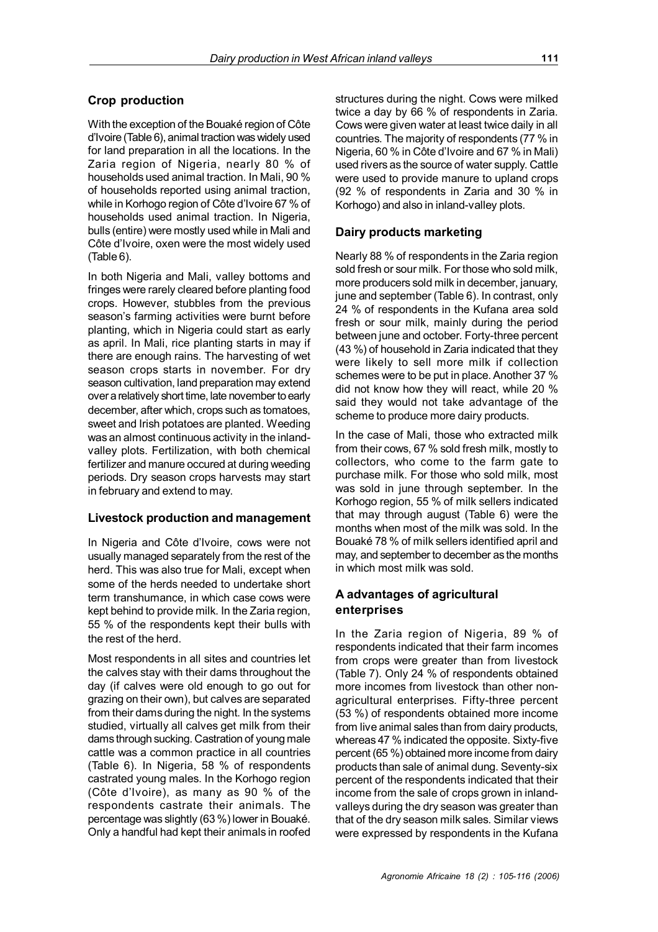### **Crop production**

With the exception of the Bouaké region of Côte d'Ivoire (Table 6), animal traction was widely used for land preparation in all the locations. In the Zaria region of Nigeria, nearly 80 % of households used animal traction. In Mali, 90 % of households reported using animal traction, while in Korhogo region of Côte d'Ivoire 67 % of households used animal traction. In Nigeria, bulls (entire) were mostly used while in Mali and Côte d'Ivoire, oxen were the most widely used (Table 6).

In both Nigeria and Mali, valley bottoms and fringes were rarely cleared before planting food crops. However, stubbles from the previous season's farming activities were burnt before planting, which in Nigeria could start as early as april. In Mali, rice planting starts in may if there are enough rains. The harvesting of wet season crops starts in november. For dry season cultivation, land preparation may extend over a relatively short time, late november to early december, after which, crops such as tomatoes, sweet and Irish potatoes are planted. Weeding was an almost continuous activity in the inlandvalley plots. Fertilization, with both chemical fertilizer and manure occured at during weeding periods. Dry season crops harvests may start in february and extend to may.

### **Livestock production and management**

In Nigeria and Côte d'Ivoire, cows were not usually managed separately from the rest of the herd. This was also true for Mali, except when some of the herds needed to undertake short term transhumance, in which case cows were kept behind to provide milk. In the Zaria region, 55 % of the respondents kept their bulls with the rest of the herd.

Most respondents in all sites and countries let the calves stay with their dams throughout the day (if calves were old enough to go out for grazing on their own), but calves are separated from their dams during the night. In the systems studied, virtually all calves get milk from their dams through sucking. Castration of young male cattle was a common practice in all countries (Table 6). In Nigeria, 58 % of respondents castrated young males. In the Korhogo region (Côte d'Ivoire), as many as 90 % of the respondents castrate their animals. The percentage was slightly (63 %) lower in Bouaké. Only a handful had kept their animals in roofed

structures during the night. Cows were milked twice a day by 66 % of respondents in Zaria. Cows were given water at least twice daily in all countries. The majority of respondents (77 % in Nigeria, 60 % in Côte d'Ivoire and 67 % in Mali) used rivers as the source of water supply. Cattle were used to provide manure to upland crops (92 % of respondents in Zaria and 30 % in Korhogo) and also in inland-valley plots.

## **Dairy products marketing**

Nearly 88 % of respondents in the Zaria region sold fresh or sour milk. For those who sold milk, more producers sold milk in december, january, june and september (Table 6). In contrast, only 24 % of respondents in the Kufana area sold fresh or sour milk, mainly during the period between june and october. Forty-three percent (43 %) of household in Zaria indicated that they were likely to sell more milk if collection schemes were to be put in place. Another 37 % did not know how they will react, while 20 % said they would not take advantage of the scheme to produce more dairy products.

In the case of Mali, those who extracted milk from their cows, 67 % sold fresh milk, mostly to collectors, who come to the farm gate to purchase milk. For those who sold milk, most was sold in june through september. In the Korhogo region, 55 % of milk sellers indicated that may through august (Table 6) were the months when most of the milk was sold. In the Bouaké 78 % of milk sellers identified april and may, and september to december as the months in which most milk was sold.

## **A advantages of agricultural enterprises**

In the Zaria region of Nigeria, 89 % of respondents indicated that their farm incomes from crops were greater than from livestock (Table 7). Only 24 % of respondents obtained more incomes from livestock than other nonagricultural enterprises. Fifty-three percent (53 %) of respondents obtained more income from live animal sales than from dairy products, whereas 47 % indicated the opposite. Sixty-five percent (65 %) obtained more income from dairy products than sale of animal dung. Seventy-six percent of the respondents indicated that their income from the sale of crops grown in inlandvalleys during the dry season was greater than that of the dry season milk sales. Similar views were expressed by respondents in the Kufana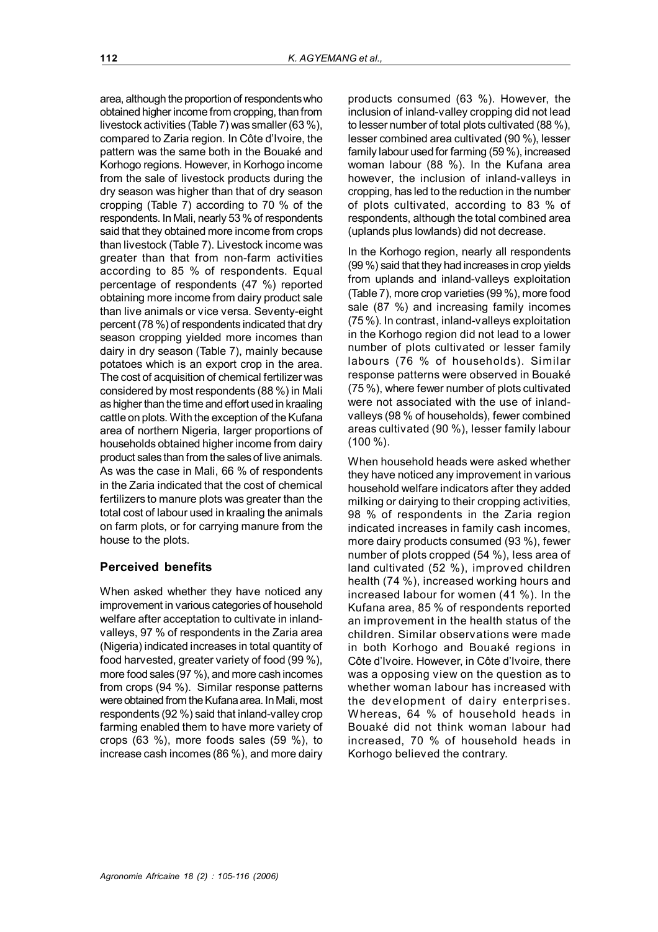*Agronomie Africaine 18 (2) : 105-116 (2006)*

area, although the proportion of respondents who obtained higher income from cropping, than from livestock activities (Table 7) was smaller (63 %), compared to Zaria region. In Côte d'Ivoire, the pattern was the same both in the Bouaké and Korhogo regions. However, in Korhogo income from the sale of livestock products during the dry season was higher than that of dry season cropping (Table 7) according to 70 % of the respondents. In Mali, nearly 53 % of respondents said that they obtained more income from crops than livestock (Table 7). Livestock income was greater than that from non-farm activities according to 85 % of respondents. Equal percentage of respondents (47 %) reported obtaining more income from dairy product sale than live animals or vice versa. Seventy-eight percent (78 %) of respondents indicated that dry season cropping yielded more incomes than dairy in dry season (Table 7), mainly because potatoes which is an export crop in the area. The cost of acquisition of chemical fertilizer was considered by most respondents (88 %) in Mali as higher than the time and effort used in kraaling cattle on plots. With the exception of the Kufana area of northern Nigeria, larger proportions of households obtained higher income from dairy product sales than from the sales of live animals. As was the case in Mali, 66 % of respondents in the Zaria indicated that the cost of chemical fertilizers to manure plots was greater than the total cost of labour used in kraaling the animals on farm plots, or for carrying manure from the house to the plots.

## **Perceived benefits**

When asked whether they have noticed any improvement in various categories of household welfare after acceptation to cultivate in inlandvalleys, 97 % of respondents in the Zaria area (Nigeria) indicated increases in total quantity of food harvested, greater variety of food (99 %), more food sales (97 %), and more cash incomes from crops (94 %). Similar response patterns were obtained from the Kufana area. In Mali, most respondents (92 %) said that inland-valley crop farming enabled them to have more variety of crops (63 %), more foods sales (59 %), to increase cash incomes (86 %), and more dairy

products consumed (63 %). However, the inclusion of inland-valley cropping did not lead to lesser number of total plots cultivated (88 %), lesser combined area cultivated (90 %), lesser family labour used for farming (59 %), increased woman labour (88 %). In the Kufana area however, the inclusion of inland-valleys in cropping, has led to the reduction in the number of plots cultivated, according to 83 % of respondents, although the total combined area (uplands plus lowlands) did not decrease.

In the Korhogo region, nearly all respondents (99 %) said that they had increases in crop yields from uplands and inland-valleys exploitation (Table 7), more crop varieties (99 %), more food sale (87 %) and increasing family incomes (75 %). In contrast, inland-valleys exploitation in the Korhogo region did not lead to a lower number of plots cultivated or lesser family labours (76 % of households). Similar response patterns were observed in Bouaké (75 %), where fewer number of plots cultivated were not associated with the use of inlandvalleys (98 % of households), fewer combined areas cultivated (90 %), lesser family labour (100 %).

When household heads were asked whether they have noticed any improvement in various household welfare indicators after they added milking or dairying to their cropping activities, 98 % of respondents in the Zaria region indicated increases in family cash incomes, more dairy products consumed (93 %), fewer number of plots cropped (54 %), less area of land cultivated (52 %), improved children health (74 %), increased working hours and increased labour for women (41 %). In the Kufana area, 85 % of respondents reported an improvement in the health status of the children. Similar observations were made in both Korhogo and Bouaké regions in Côte d'Ivoire. However, in Côte d'Ivoire, there was a opposing view on the question as to whether woman labour has increased with the development of dairy enterprises. Whereas, 64 % of household heads in Bouaké did not think woman labour had increased, 70 % of household heads in Korhogo believed the contrary.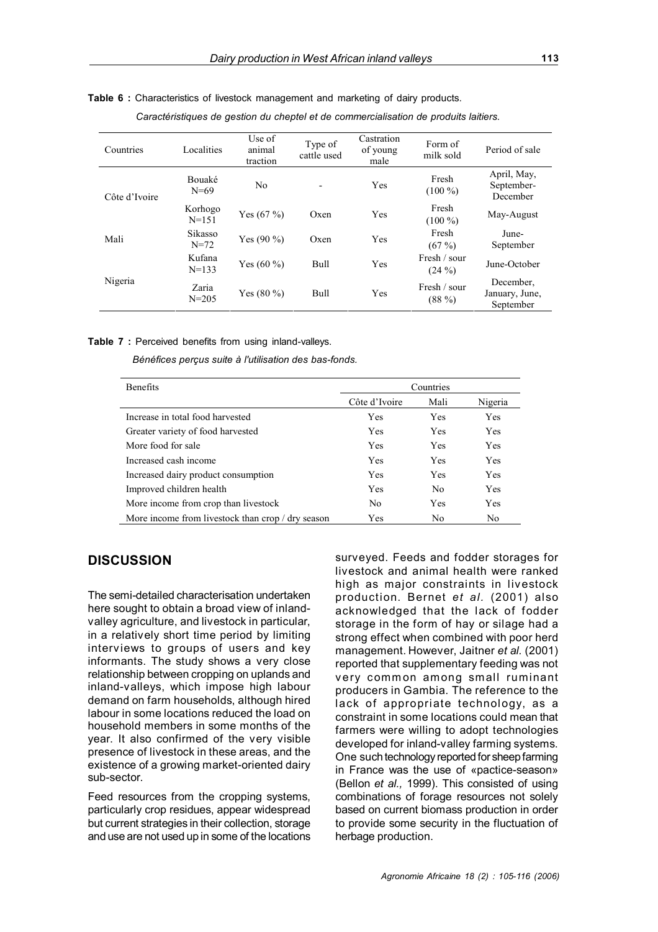| Countries     | Localities           | Use of<br>animal<br>traction | Type of<br>cattle used | Castration<br>of young<br>male | Form of<br>milk sold     | Period of sale                           |
|---------------|----------------------|------------------------------|------------------------|--------------------------------|--------------------------|------------------------------------------|
| Côte d'Ivoire | Bouaké<br>$N = 69$   | No                           |                        | Yes                            | Fresh<br>$(100\%)$       | April, May,<br>September-<br>December    |
|               | Korhogo<br>$N = 151$ | Yes $(67%)$                  | Oxen                   | Yes                            | Fresh<br>$(100\%)$       | May-August                               |
| Mali          | Sikasso<br>$N = 72$  | Yes $(90\% )$                | Oxen                   | Yes                            | Fresh<br>(67%)           | June-<br>September                       |
|               | Kufana<br>$N = 133$  | Yes $(60\%)$                 | <b>Bull</b>            | Yes                            | Fresh / sour<br>$(24\%)$ | June-October                             |
| Nigeria       | Zaria<br>$N = 205$   | Yes $(80\%)$                 | Bull                   | Yes                            | Fresh / sour<br>$(88\%)$ | December,<br>January, June,<br>September |

**Table 6 :** Characteristics of livestock management and marketing of dairy products.

| Caractéristiques de gestion du cheptel et de commercialisation de produits laitiers. |  |  |  |  |  |
|--------------------------------------------------------------------------------------|--|--|--|--|--|
|--------------------------------------------------------------------------------------|--|--|--|--|--|

**Table 7 :** Perceived benefits from using inland-valleys.

*Bénéfices perçus suite à l'utilisation des bas-fonds.*

| <b>Benefits</b>                                   | Countries     |            |                |
|---------------------------------------------------|---------------|------------|----------------|
|                                                   | Côte d'Ivoire | Mali       | Nigeria        |
| Increase in total food harvested                  | Yes           | Yes        | <b>Yes</b>     |
| Greater variety of food harvested                 | <b>Yes</b>    | Yes        | <b>Yes</b>     |
| More food for sale                                | Yes           | <b>Yes</b> | Yes            |
| Increased cash income                             | <b>Yes</b>    | Yes        | <b>Yes</b>     |
| Increased dairy product consumption               | Yes           | <b>Yes</b> | <b>Yes</b>     |
| Improved children health                          | <b>Yes</b>    | No         | <b>Yes</b>     |
| More income from crop than livestock              | No.           | <b>Yes</b> | Yes            |
| More income from livestock than crop / dry season | Yes           | No         | N <sub>0</sub> |

### **DISCUSSION**

The semi-detailed characterisation undertaken here sought to obtain a broad view of inlandvalley agriculture, and livestock in particular, in a relatively short time period by limiting interviews to groups of users and key informants. The study shows a very close relationship between cropping on uplands and inland-valleys, which impose high labour demand on farm households, although hired labour in some locations reduced the load on household members in some months of the year. It also confirmed of the very visible presence of livestock in these areas, and the existence of a growing market-oriented dairy sub-sector.

Feed resources from the cropping systems, particularly crop residues, appear widespread but current strategies in their collection, storage and use are not used up in some of the locations surveyed. Feeds and fodder storages for livestock and animal health were ranked high as major constraints in livestock production. Bernet *et al.* (2001) also acknowledged that the lack of fodder storage in the form of hay or silage had a strong effect when combined with poor herd management. However, Jaitner *et al.* (2001) reported that supplementary feeding was not very common among small ruminant producers in Gambia. The reference to the lack of appropriate technology, as a constraint in some locations could mean that farmers were willing to adopt technologies developed for inland-valley farming systems. One such technology reported for sheep farming in France was the use of «pactice-season» (Bellon *et al.,* 1999). This consisted of using combinations of forage resources not solely based on current biomass production in order to provide some security in the fluctuation of herbage production.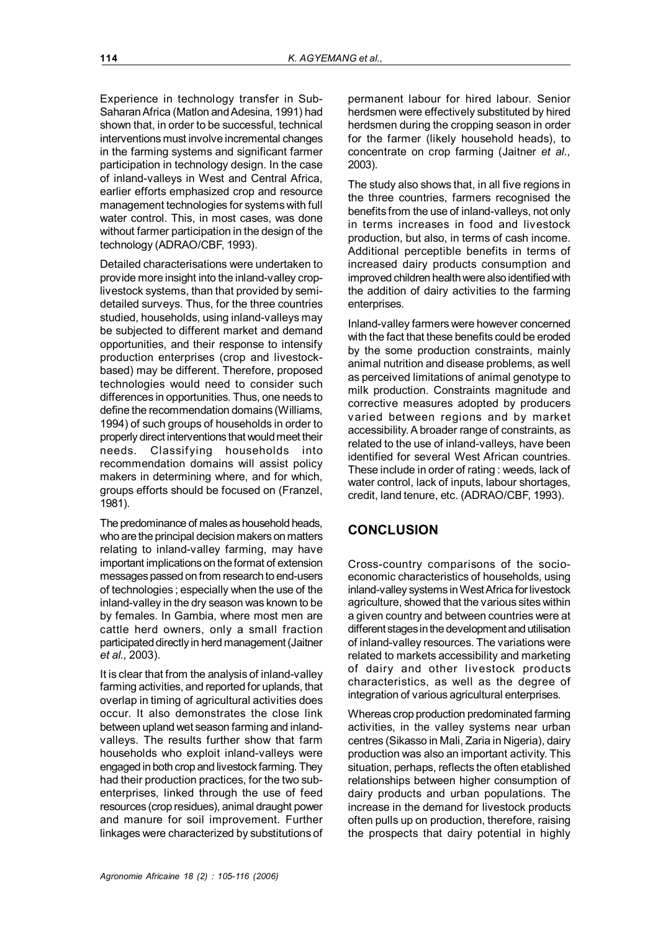Experience in technology transfer in Sub-Saharan Africa (Matlon and Adesina, 1991) had shown that, in order to be successful, technical interventions must involve incremental changes in the farming systems and significant farmer participation in technology design. In the case of inland-valleys in West and Central Africa, earlier efforts emphasized crop and resource management technologies for systems with full water control. This, in most cases, was done without farmer participation in the design of the technology (ADRAO/CBF, 1993).

Detailed characterisations were undertaken to provide more insight into the inland-valley croplivestock systems, than that provided by semidetailed surveys. Thus, for the three countries studied, households, using inland-valleys may be subjected to different market and demand opportunities, and their response to intensify production enterprises (crop and livestockbased) may be different. Therefore, proposed technologies would need to consider such differences in opportunities. Thus, one needs to define the recommendation domains (Williams, 1994) of such groups of households in order to properly direct interventions that would meet their needs. Classifying households into recommendation domains will assist policy makers in determining where, and for which, groups efforts should be focused on (Franzel, 1981).

The predominance of males as household heads, who are the principal decision makers on matters relating to inland-valley farming, may have important implications on the format of extension messages passed on from research to end-users of technologies ; especially when the use of the inland-valley in the dry season was known to be by females. In Gambia, where most men are cattle herd owners, only a small fraction participated directly in herd management (Jaitner *et al.,* 2003).

It is clear that from the analysis of inland-valley farming activities, and reported for uplands, that overlap in timing of agricultural activities does occur. It also demonstrates the close link between upland wet season farming and inlandvalleys. The results further show that farm households who exploit inland-valleys were engaged in both crop and livestock farming. They had their production practices, for the two subenterprises, linked through the use of feed resources (crop residues), animal draught power and manure for soil improvement. Further linkages were characterized by substitutions of

permanent labour for hired labour. Senior herdsmen were effectively substituted by hired herdsmen during the cropping season in order for the farmer (likely household heads), to concentrate on crop farming (Jaitner *et al.,* 2003).

The study also shows that, in all five regions in the three countries, farmers recognised the benefits from the use of inland-valleys, not only in terms increases in food and livestock production, but also, in terms of cash income. Additional perceptible benefits in terms of increased dairy products consumption and improved children health were also identified with the addition of dairy activities to the farming enterprises.

Inland-valley farmers were however concerned with the fact that these benefits could be eroded by the some production constraints, mainly animal nutrition and disease problems, as well as perceived limitations of animal genotype to milk production. Constraints magnitude and corrective measures adopted by producers varied between regions and by market accessibility. A broader range of constraints, as related to the use of inland-valleys, have been identified for several West African countries. These include in order of rating : weeds, lack of water control, lack of inputs, labour shortages, credit, land tenure, etc. (ADRAO/CBF, 1993).

## **CONCLUSION**

Cross-country comparisons of the socioeconomic characteristics of households, using inland-valley systems in West Africa for livestock agriculture, showed that the various sites within a given country and between countries were at different stages in the development and utilisation of inland-valley resources. The variations were related to markets accessibility and marketing of dairy and other livestock products characteristics, as well as the degree of integration of various agricultural enterprises.

Whereas crop production predominated farming activities, in the valley systems near urban centres (Sikasso in Mali, Zaria in Nigeria), dairy production was also an important activity. This situation, perhaps, reflects the often etablished relationships between higher consumption of dairy products and urban populations. The increase in the demand for livestock products often pulls up on production, therefore, raising the prospects that dairy potential in highly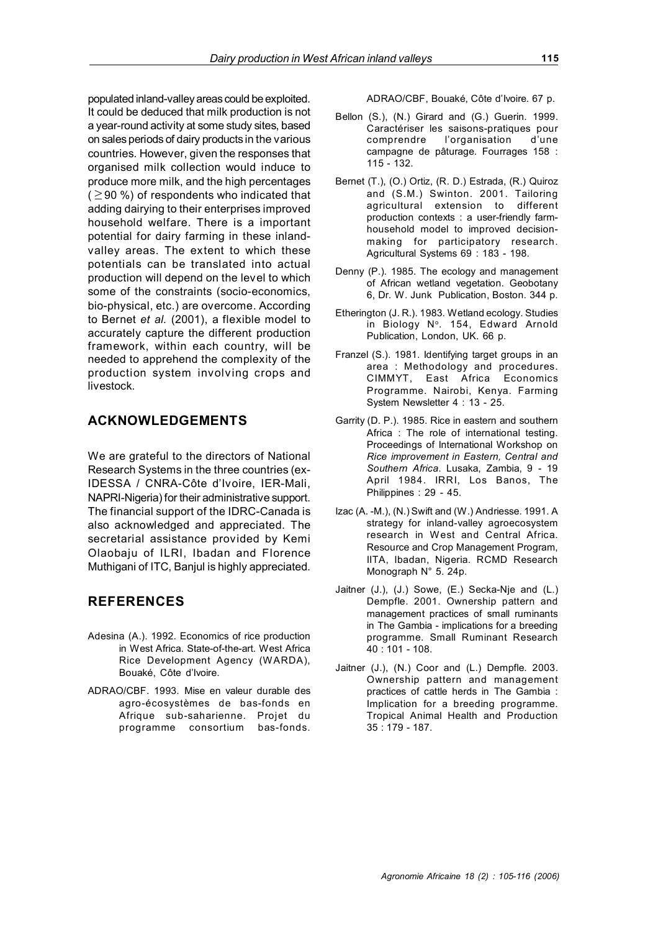populated inland-valley areas could be exploited. It could be deduced that milk production is not a year-round activity at some study sites, based on sales periods of dairy products in the various countries. However, given the responses that organised milk collection would induce to produce more milk, and the high percentages  $($   $\geq$  90 %) of respondents who indicated that adding dairying to their enterprises improved household welfare. There is a important potential for dairy farming in these inlandvalley areas. The extent to which these potentials can be translated into actual production will depend on the level to which some of the constraints (socio-economics, bio-physical, etc.) are overcome. According to Bernet *et al.* (2001), a flexible model to accurately capture the different production framework, within each country, will be needed to apprehend the complexity of the production system involving crops and livestock.

## **ACKNOWLEDGEMENTS**

We are grateful to the directors of National Research Systems in the three countries (ex-IDESSA / CNRA-Côte d'Ivoire, IER-Mali, NAPRI-Nigeria) for their administrative support. The financial support of the IDRC-Canada is also acknowledged and appreciated. The secretarial assistance provided by Kemi Olaobaju of ILRI, Ibadan and Florence Muthigani of ITC, Banjul is highly appreciated.

## **REFERENCES**

- Adesina (A.). 1992. Economics of rice production in West Africa. State-of-the-art. West Africa Rice Development Agency (WARDA), Bouaké, Côte d'Ivoire.
- ADRAO/CBF. 1993. Mise en valeur durable des agro-écosystèmes de bas-fonds en Afrique sub-saharienne. Projet du programme consortium bas-fonds.

ADRAO/CBF, Bouaké, Côte d'Ivoire. 67 p.

- Bellon (S.), (N.) Girard and (G.) Guerin. 1999. Caractériser les saisons-pratiques pour comprendre l'organisation d'une campagne de pâturage. Fourrages 158 : 115 - 132.
- Bernet (T.), (O.) Ortiz, (R. D.) Estrada, (R.) Quiroz and (S.M.) Swinton. 2001. Tailoring agricultural extension to different production contexts : a user-friendly farmhousehold model to improved decisionmaking for participatory research. Agricultural Systems 69 : 183 - 198.
- Denny (P.). 1985. The ecology and management of African wetland vegetation. Geobotany 6, Dr. W. Junk Publication, Boston. 344 p.
- Etherington (J. R.). 1983. Wetland ecology. Studies in Biology Nº. 154, Edward Arnold Publication, London, UK. 66 p.
- Franzel (S.). 1981. Identifying target groups in an area : Methodology and procedures. CIMMYT, East Africa Economics Programme. Nairobi, Kenya. Farming System Newsletter 4 : 13 - 25.
- Garrity (D. P.). 1985. Rice in eastern and southern Africa : The role of international testing. Proceedings of International Workshop on *Rice improvement in Eastern, Central and Southern Africa*. Lusaka, Zambia, 9 - 19 April 1984. IRRI, Los Banos, The Philippines : 29 - 45.
- Izac (A. -M.), (N.) Swift and (W.) Andriesse. 1991. A strategy for inland-valley agroecosystem research in West and Central Africa. Resource and Crop Management Program, IITA, Ibadan, Nigeria. RCMD Research Monograph N° 5. 24p.
- Jaitner (J.), (J.) Sowe, (E.) Secka-Nje and (L.) Dempfle. 2001. Ownership pattern and management practices of small ruminants in The Gambia - implications for a breeding programme. Small Ruminant Research 40 : 101 - 108.
- Jaitner (J.), (N.) Coor and (L.) Dempfle. 2003. Ownership pattern and management practices of cattle herds in The Gambia : Implication for a breeding programme. Tropical Animal Health and Production 35 : 179 - 187.